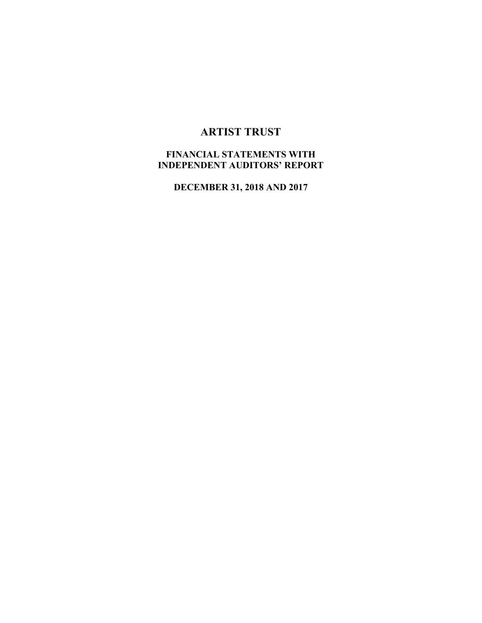# **ARTIST TRUST**

## **FINANCIAL STATEMENTS WITH INDEPENDENT AUDITORS' REPORT**

**DECEMBER 31, 2018 AND 2017**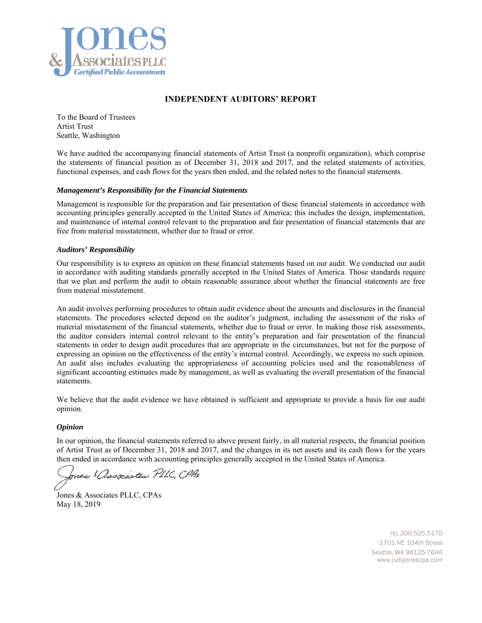

#### **INDEPENDENT AUDITORS' REPORT**

To the Board of Trustees Artist Trust Seattle, Washington

We have audited the accompanying financial statements of Artist Trust (a nonprofit organization), which comprise the statements of financial position as of December 31, 2018 and 2017, and the related statements of activities, functional expenses, and cash flows for the years then ended, and the related notes to the financial statements.

#### *Management's Responsibility for the Financial Statements*

Management is responsible for the preparation and fair presentation of these financial statements in accordance with accounting principles generally accepted in the United States of America; this includes the design, implementation, and maintenance of internal control relevant to the preparation and fair presentation of financial statements that are free from material misstatement, whether due to fraud or error.

#### *Auditors' Responsibility*

Our responsibility is to express an opinion on these financial statements based on our audit. We conducted our audit in accordance with auditing standards generally accepted in the United States of America. Those standards require that we plan and perform the audit to obtain reasonable assurance about whether the financial statements are free from material misstatement.

An audit involves performing procedures to obtain audit evidence about the amounts and disclosures in the financial statements. The procedures selected depend on the auditor's judgment, including the assessment of the risks of material misstatement of the financial statements, whether due to fraud or error. In making those risk assessments, the auditor considers internal control relevant to the entity's preparation and fair presentation of the financial statements in order to design audit procedures that are appropriate in the circumstances, but not for the purpose of expressing an opinion on the effectiveness of the entity's internal control. Accordingly, we express no such opinion. An audit also includes evaluating the appropriateness of accounting policies used and the reasonableness of significant accounting estimates made by management, as well as evaluating the overall presentation of the financial statements.

We believe that the audit evidence we have obtained is sufficient and appropriate to provide a basis for our audit opinion.

#### *Opinion*

In our opinion, the financial statements referred to above present fairly, in all material respects, the financial position of Artist Trust as of December 31, 2018 and 2017, and the changes in its net assets and its cash flows for the years then ended in accordance with accounting principles generally accepted in the United States of America.

ones ! associates PLLC, CPAs

Jones & Associates PLLC, CPAs May 18, 2019

 TEL 206.525.5170 1701 NE 104th Street Seattle, WA 98125-7646 www.judyjonescpa.com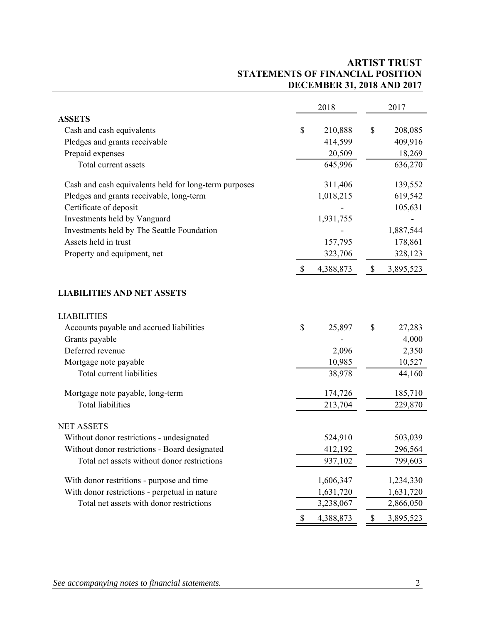## **ARTIST TRUST STATEMENTS OF FINANCIAL POSITION DECEMBER 31, 2018 AND 2017**

|                                                       | 2018            |      | 2017      |
|-------------------------------------------------------|-----------------|------|-----------|
| <b>ASSETS</b>                                         |                 |      |           |
| Cash and cash equivalents                             | \$<br>210,888   | \$   | 208,085   |
| Pledges and grants receivable                         | 414,599         |      | 409,916   |
| Prepaid expenses                                      | 20,509          |      | 18,269    |
| Total current assets                                  | 645,996         |      | 636,270   |
| Cash and cash equivalents held for long-term purposes | 311,406         |      | 139,552   |
| Pledges and grants receivable, long-term              | 1,018,215       |      | 619,542   |
| Certificate of deposit                                |                 |      | 105,631   |
| Investments held by Vanguard                          | 1,931,755       |      |           |
| Investments held by The Seattle Foundation            |                 |      | 1,887,544 |
| Assets held in trust                                  | 157,795         |      | 178,861   |
| Property and equipment, net                           | 323,706         |      | 328,123   |
|                                                       | \$<br>4,388,873 | \$   | 3,895,523 |
| <b>LIABILITIES AND NET ASSETS</b>                     |                 |      |           |
| <b>LIABILITIES</b>                                    |                 |      |           |
| Accounts payable and accrued liabilities              | \$<br>25,897    | \$   | 27,283    |
| Grants payable                                        |                 |      | 4,000     |
| Deferred revenue                                      | 2,096           |      | 2,350     |
| Mortgage note payable                                 | 10,985          |      | 10,527    |
| Total current liabilities                             | 38,978          |      | 44,160    |
| Mortgage note payable, long-term                      | 174,726         |      | 185,710   |
| <b>Total liabilities</b>                              | 213,704         |      | 229,870   |
| <b>NET ASSETS</b>                                     |                 |      |           |
| Without donor restrictions - undesignated             | 524,910         |      | 503,039   |
| Without donor restrictions - Board designated         | 412,192         |      | 296,564   |
| Total net assets without donor restrictions           | 937,102         |      | 799,603   |
| With donor restritions - purpose and time             | 1,606,347       |      | 1,234,330 |
| With donor restrictions - perpetual in nature         | 1,631,720       |      | 1,631,720 |
| Total net assets with donor restrictions              | 3,238,067       |      | 2,866,050 |
|                                                       | \$<br>4,388,873 | $\$$ | 3,895,523 |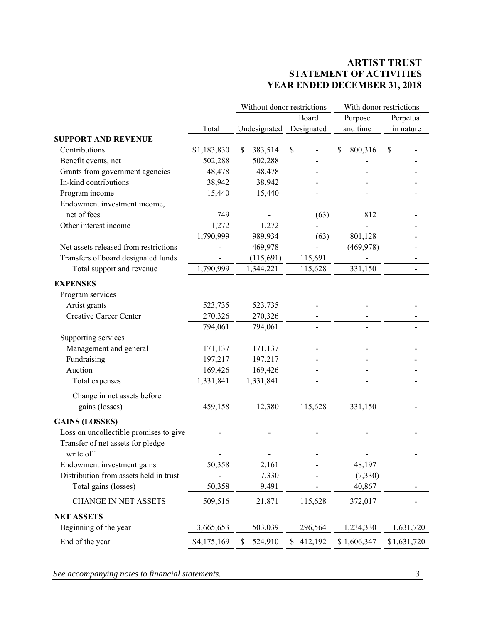## **ARTIST TRUST STATEMENT OF ACTIVITIES YEAR ENDED DECEMBER 31, 2018**

|                                        |             | Without donor restrictions |                          | With donor restrictions |                          |
|----------------------------------------|-------------|----------------------------|--------------------------|-------------------------|--------------------------|
|                                        |             |                            | Board                    | Purpose                 | Perpetual                |
|                                        | Total       | Undesignated               | Designated               | and time                | in nature                |
| <b>SUPPORT AND REVENUE</b>             |             |                            |                          |                         |                          |
| Contributions                          | \$1,183,830 | \$<br>383,514              | \$                       | 800,316<br>\$           | \$                       |
| Benefit events, net                    | 502,288     | 502,288                    |                          |                         |                          |
| Grants from government agencies        | 48,478      | 48,478                     |                          |                         |                          |
| In-kind contributions                  | 38,942      | 38,942                     |                          |                         |                          |
| Program income                         | 15,440      | 15,440                     |                          |                         |                          |
| Endowment investment income,           |             |                            |                          |                         |                          |
| net of fees                            | 749         |                            | (63)                     | 812                     |                          |
| Other interest income                  | 1,272       | 1,272                      | $\overline{\phantom{0}}$ |                         |                          |
|                                        | 1,790,999   | 989,934                    | (63)                     | 801,128                 |                          |
| Net assets released from restrictions  |             | 469,978                    |                          | (469,978)               |                          |
| Transfers of board designated funds    |             | (115,691)                  | 115,691                  |                         |                          |
| Total support and revenue              | 1,790,999   | 1,344,221                  | 115,628                  | 331,150                 | $\overline{\phantom{0}}$ |
| <b>EXPENSES</b>                        |             |                            |                          |                         |                          |
| Program services                       |             |                            |                          |                         |                          |
| Artist grants                          | 523,735     | 523,735                    |                          |                         |                          |
| Creative Career Center                 | 270,326     | 270,326                    |                          |                         |                          |
|                                        | 794,061     | 794,061                    |                          |                         |                          |
| Supporting services                    |             |                            |                          |                         |                          |
| Management and general                 | 171,137     | 171,137                    |                          |                         |                          |
| Fundraising                            | 197,217     | 197,217                    |                          |                         |                          |
| Auction                                | 169,426     | 169,426                    |                          |                         |                          |
| Total expenses                         | 1,331,841   | 1,331,841                  |                          |                         |                          |
| Change in net assets before            |             |                            |                          |                         |                          |
| gains (losses)                         | 459,158     | 12,380                     | 115,628                  | 331,150                 |                          |
| <b>GAINS (LOSSES)</b>                  |             |                            |                          |                         |                          |
| Loss on uncollectible promises to give |             |                            |                          |                         |                          |
| Transfer of net assets for pledge      |             |                            |                          |                         |                          |
| write off                              |             |                            |                          |                         |                          |
| Endowment investment gains             | 50,358      | 2,161                      |                          | 48,197                  |                          |
| Distribution from assets held in trust |             | 7,330                      |                          | (7, 330)                |                          |
| Total gains (losses)                   | 50,358      | 9,491                      |                          | 40,867                  |                          |
| <b>CHANGE IN NET ASSETS</b>            | 509,516     | 21,871                     | 115,628                  | 372,017                 |                          |
|                                        |             |                            |                          |                         |                          |
| <b>NET ASSETS</b>                      |             |                            |                          |                         |                          |
| Beginning of the year                  | 3,665,653   | 503,039                    | 296,564                  | 1,234,330               | 1,631,720                |
| End of the year                        | \$4,175,169 | 524,910<br>S               | 412,192<br>S.            | \$1,606,347             | \$1,631,720              |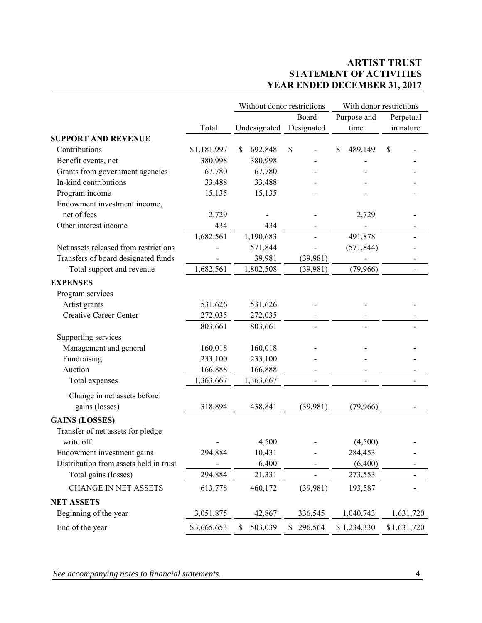## **ARTIST TRUST STATEMENT OF ACTIVITIES YEAR ENDED DECEMBER 31, 2017**

|                                        |             | Without donor restrictions |               | With donor restrictions |                          |
|----------------------------------------|-------------|----------------------------|---------------|-------------------------|--------------------------|
|                                        |             |                            | Board         | Purpose and             | Perpetual                |
|                                        | Total       | Undesignated               | Designated    | time                    | in nature                |
| <b>SUPPORT AND REVENUE</b>             |             |                            |               |                         |                          |
| Contributions                          | \$1,181,997 | \$<br>692,848              | \$            | 489,149<br>S            | \$                       |
| Benefit events, net                    | 380,998     | 380,998                    |               |                         |                          |
| Grants from government agencies        | 67,780      | 67,780                     |               |                         |                          |
| In-kind contributions                  | 33,488      | 33,488                     |               |                         |                          |
| Program income                         | 15,135      | 15,135                     |               |                         |                          |
| Endowment investment income,           |             |                            |               |                         |                          |
| net of fees                            | 2,729       |                            |               | 2,729                   |                          |
| Other interest income                  | 434         | 434                        |               |                         |                          |
|                                        | 1,682,561   | 1,190,683                  |               | 491,878                 |                          |
| Net assets released from restrictions  |             | 571,844                    |               | (571, 844)              |                          |
| Transfers of board designated funds    |             | 39,981                     | (39,981)      |                         |                          |
| Total support and revenue              | 1,682,561   | 1,802,508                  | (39,981)      | (79,966)                | $\overline{\phantom{a}}$ |
| <b>EXPENSES</b>                        |             |                            |               |                         |                          |
| Program services                       |             |                            |               |                         |                          |
| Artist grants                          | 531,626     | 531,626                    |               |                         |                          |
| <b>Creative Career Center</b>          | 272,035     | 272,035                    |               |                         |                          |
|                                        | 803,661     | 803,661                    |               |                         |                          |
| Supporting services                    |             |                            |               |                         |                          |
| Management and general                 | 160,018     | 160,018                    |               |                         |                          |
| Fundraising                            | 233,100     | 233,100                    |               |                         |                          |
| Auction                                | 166,888     | 166,888                    |               |                         |                          |
| Total expenses                         | 1,363,667   | 1,363,667                  |               |                         |                          |
| Change in net assets before            |             |                            |               |                         |                          |
| gains (losses)                         | 318,894     | 438,841                    | (39,981)      | (79,966)                |                          |
| <b>GAINS (LOSSES)</b>                  |             |                            |               |                         |                          |
| Transfer of net assets for pledge      |             |                            |               |                         |                          |
| write off                              |             | 4,500                      |               | (4,500)                 |                          |
| Endowment investment gains             | 294.884     | 10,431                     |               | 284,453                 |                          |
| Distribution from assets held in trust |             | 6,400                      |               | (6,400)                 |                          |
| Total gains (losses)                   | 294,884     | 21,331                     |               | 273,553                 |                          |
| <b>CHANGE IN NET ASSETS</b>            | 613,778     | 460,172                    | (39,981)      | 193,587                 |                          |
| <b>NET ASSETS</b>                      |             |                            |               |                         |                          |
| Beginning of the year                  | 3,051,875   | 42,867                     | 336,545       | 1,040,743               | 1,631,720                |
| End of the year                        | \$3,665,653 | 503,039<br>\$              | 296,564<br>\$ | \$1,234,330             | \$1,631,720              |

*See accompanying notes to financial statements.* 4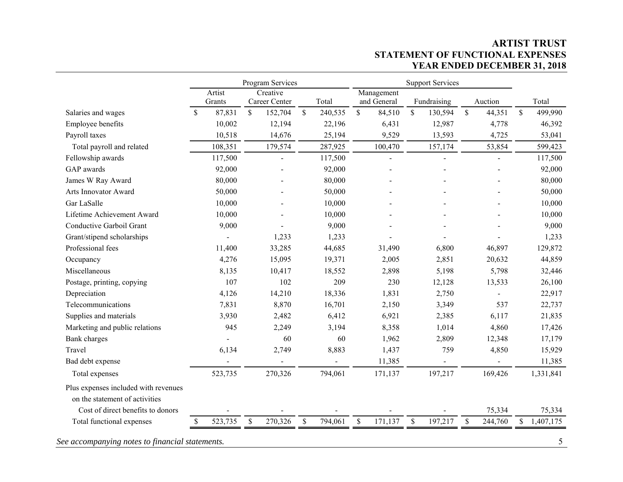### **ARTIST TRUST STATEMENT OF FUNCTIONAL EXPENSES YEAR ENDED DECEMBER 31, 2018**

|                                      |               |                  | Program Services          |              |         | <b>Support Services</b> |                           |              |                          |              |         |               |           |
|--------------------------------------|---------------|------------------|---------------------------|--------------|---------|-------------------------|---------------------------|--------------|--------------------------|--------------|---------|---------------|-----------|
|                                      |               | Artist<br>Grants | Creative<br>Career Center |              | Total   |                         | Management<br>and General |              | Fundraising              |              | Auction |               | Total     |
| Salaries and wages                   | <sup>\$</sup> | 87,831           | \$<br>152,704             | $\mathbb{S}$ | 240,535 | $\mathbb{S}$            | 84,510                    | $\mathbb{S}$ | 130,594                  | $\mathbb{S}$ | 44,351  | $\mathcal{S}$ | 499,990   |
| Employee benefits                    |               | 10,002           | 12,194                    |              | 22,196  |                         | 6,431                     |              | 12,987                   |              | 4,778   |               | 46,392    |
| Payroll taxes                        |               | 10,518           | 14,676                    |              | 25,194  |                         | 9,529                     |              | 13,593                   |              | 4,725   |               | 53,041    |
| Total payroll and related            |               | 108,351          | 179,574                   |              | 287,925 |                         | 100,470                   |              | 157,174                  |              | 53,854  |               | 599,423   |
| Fellowship awards                    |               | 117,500          | $\blacksquare$            |              | 117,500 |                         | $\overline{a}$            |              | L,                       |              |         |               | 117,500   |
| GAP awards                           |               | 92,000           |                           |              | 92,000  |                         |                           |              |                          |              |         |               | 92,000    |
| James W Ray Award                    |               | 80,000           |                           |              | 80,000  |                         |                           |              |                          |              |         |               | 80,000    |
| Arts Innovator Award                 |               | 50,000           |                           |              | 50,000  |                         |                           |              |                          |              |         |               | 50,000    |
| Gar LaSalle                          |               | 10,000           |                           |              | 10,000  |                         |                           |              |                          |              |         |               | 10,000    |
| Lifetime Achievement Award           |               | 10,000           |                           |              | 10,000  |                         |                           |              |                          |              |         |               | 10,000    |
| Conductive Garboil Grant             |               | 9,000            |                           |              | 9,000   |                         |                           |              |                          |              |         |               | 9,000     |
| Grant/stipend scholarships           |               |                  | 1,233                     |              | 1,233   |                         |                           |              |                          |              |         |               | 1,233     |
| Professional fees                    |               | 11,400           | 33,285                    |              | 44,685  |                         | 31,490                    |              | 6,800                    |              | 46,897  |               | 129,872   |
| Occupancy                            |               | 4,276            | 15,095                    |              | 19,371  |                         | 2,005                     |              | 2,851                    |              | 20,632  |               | 44,859    |
| Miscellaneous                        |               | 8,135            | 10,417                    |              | 18,552  |                         | 2,898                     |              | 5,198                    |              | 5,798   |               | 32,446    |
| Postage, printing, copying           |               | 107              | 102                       |              | 209     |                         | 230                       |              | 12,128                   |              | 13,533  |               | 26,100    |
| Depreciation                         |               | 4,126            | 14,210                    |              | 18,336  |                         | 1,831                     |              | 2,750                    |              |         |               | 22,917    |
| Telecommunications                   |               | 7,831            | 8,870                     |              | 16,701  |                         | 2,150                     |              | 3,349                    |              | 537     |               | 22,737    |
| Supplies and materials               |               | 3,930            | 2,482                     |              | 6,412   |                         | 6,921                     |              | 2,385                    |              | 6,117   |               | 21,835    |
| Marketing and public relations       |               | 945              | 2,249                     |              | 3,194   |                         | 8,358                     |              | 1,014                    |              | 4,860   |               | 17,426    |
| <b>Bank</b> charges                  |               |                  | 60                        |              | 60      |                         | 1,962                     |              | 2,809                    |              | 12,348  |               | 17,179    |
| Travel                               |               | 6,134            | 2,749                     |              | 8,883   |                         | 1,437                     |              | 759                      |              | 4,850   |               | 15,929    |
| Bad debt expense                     |               |                  |                           |              |         |                         | 11,385                    |              | $\overline{\phantom{a}}$ |              |         |               | 11,385    |
| Total expenses                       |               | 523,735          | 270,326                   |              | 794,061 |                         | 171,137                   |              | 197,217                  |              | 169,426 |               | 1,331,841 |
| Plus expenses included with revenues |               |                  |                           |              |         |                         |                           |              |                          |              |         |               |           |
| on the statement of activities       |               |                  |                           |              |         |                         |                           |              |                          |              |         |               |           |
| Cost of direct benefits to donors    |               |                  |                           |              |         |                         |                           |              |                          |              | 75,334  |               | 75,334    |
| Total functional expenses            | \$            | 523,735          | \$<br>270,326             | \$           | 794,061 | \$                      | 171,137                   | \$           | 197,217                  | \$           | 244,760 | \$            | 1,407,175 |

*See accompanying notes to financial statements.* 5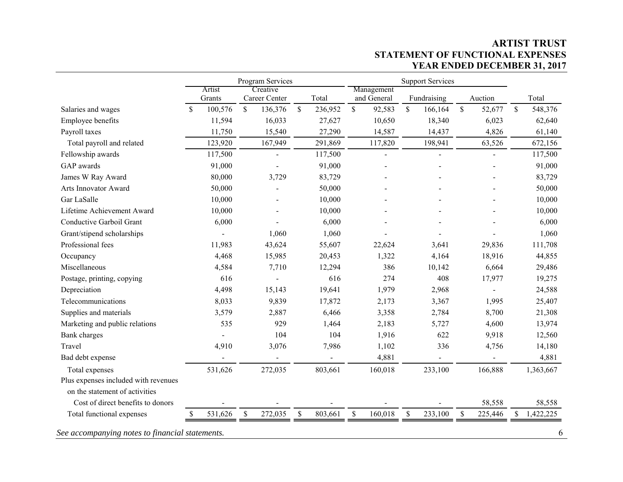### **ARTIST TRUST STATEMENT OF FUNCTIONAL EXPENSES YEAR ENDED DECEMBER 31, 2017**

|                                                                        |                  | Program Services          |               |         |              |                           |              | <b>Support Services</b> |               |         |              |           |
|------------------------------------------------------------------------|------------------|---------------------------|---------------|---------|--------------|---------------------------|--------------|-------------------------|---------------|---------|--------------|-----------|
|                                                                        | Artist<br>Grants | Creative<br>Career Center |               | Total   |              | Management<br>and General |              | Fundraising             |               | Auction |              | Total     |
| Salaries and wages                                                     | \$<br>100,576    | $\mathbb{S}$<br>136,376   | $\mathbb{S}$  | 236,952 | $\mathbb{S}$ | 92,583                    | $\mathbb{S}$ | 166,164                 | $\mathbf S$   | 52,677  | \$           | 548,376   |
| Employee benefits                                                      | 11,594           | 16,033                    |               | 27,627  |              | 10,650                    |              | 18,340                  |               | 6,023   |              | 62,640    |
| Payroll taxes                                                          | 11,750           | 15,540                    |               | 27,290  |              | 14,587                    |              | 14,437                  |               | 4,826   |              | 61,140    |
| Total payroll and related                                              | 123,920          | 167,949                   |               | 291,869 |              | 117,820                   |              | 198,941                 |               | 63,526  |              | 672,156   |
| Fellowship awards                                                      | 117,500          | $\overline{a}$            |               | 117,500 |              | ä,                        |              | $\mathbf{r}$            |               |         |              | 117,500   |
| GAP awards                                                             | 91,000           |                           |               | 91,000  |              |                           |              |                         |               |         |              | 91,000    |
| James W Ray Award                                                      | 80,000           | 3,729                     |               | 83,729  |              |                           |              |                         |               |         |              | 83,729    |
| Arts Innovator Award                                                   | 50,000           |                           |               | 50,000  |              |                           |              |                         |               |         |              | 50,000    |
| Gar LaSalle                                                            | 10,000           |                           |               | 10,000  |              |                           |              |                         |               |         |              | 10,000    |
| Lifetime Achievement Award                                             | 10,000           |                           |               | 10,000  |              |                           |              |                         |               |         |              | 10,000    |
| Conductive Garboil Grant                                               | 6,000            |                           |               | 6,000   |              |                           |              |                         |               |         |              | 6,000     |
| Grant/stipend scholarships                                             |                  | 1,060                     |               | 1,060   |              |                           |              |                         |               |         |              | 1,060     |
| Professional fees                                                      | 11,983           | 43,624                    |               | 55,607  |              | 22,624                    |              | 3,641                   |               | 29,836  |              | 111,708   |
| Occupancy                                                              | 4,468            | 15,985                    |               | 20,453  |              | 1,322                     |              | 4,164                   |               | 18,916  |              | 44,855    |
| Miscellaneous                                                          | 4,584            | 7,710                     |               | 12,294  |              | 386                       |              | 10,142                  |               | 6,664   |              | 29,486    |
| Postage, printing, copying                                             | 616              |                           |               | 616     |              | 274                       |              | 408                     |               | 17,977  |              | 19,275    |
| Depreciation                                                           | 4,498            | 15,143                    |               | 19,641  |              | 1,979                     |              | 2,968                   |               |         |              | 24,588    |
| Telecommunications                                                     | 8,033            | 9,839                     |               | 17,872  |              | 2,173                     |              | 3,367                   |               | 1,995   |              | 25,407    |
| Supplies and materials                                                 | 3,579            | 2,887                     |               | 6,466   |              | 3,358                     |              | 2,784                   |               | 8,700   |              | 21,308    |
| Marketing and public relations                                         | 535              | 929                       |               | 1,464   |              | 2,183                     |              | 5,727                   |               | 4,600   |              | 13,974    |
| <b>Bank</b> charges                                                    |                  | 104                       |               | 104     |              | 1,916                     |              | 622                     |               | 9,918   |              | 12,560    |
| Travel                                                                 | 4,910            | 3,076                     |               | 7,986   |              | 1,102                     |              | 336                     |               | 4,756   |              | 14,180    |
| Bad debt expense                                                       |                  |                           |               |         |              | 4,881                     |              | $\blacksquare$          |               |         |              | 4,881     |
| Total expenses                                                         | 531,626          | 272,035                   |               | 803,661 |              | 160,018                   |              | 233,100                 |               | 166,888 |              | 1,363,667 |
| Plus expenses included with revenues<br>on the statement of activities |                  |                           |               |         |              |                           |              |                         |               |         |              |           |
| Cost of direct benefits to donors                                      |                  |                           |               |         |              |                           |              |                         |               | 58,558  |              | 58,558    |
| Total functional expenses                                              | 531,626<br>\$    | 272,035<br>\$             | $\mathcal{S}$ | 803,661 | $\mathbb{S}$ | 160,018                   | $\mathbb{S}$ | 233,100                 | $\mathcal{S}$ | 225,446 | $\mathbb{S}$ | 1,422,225 |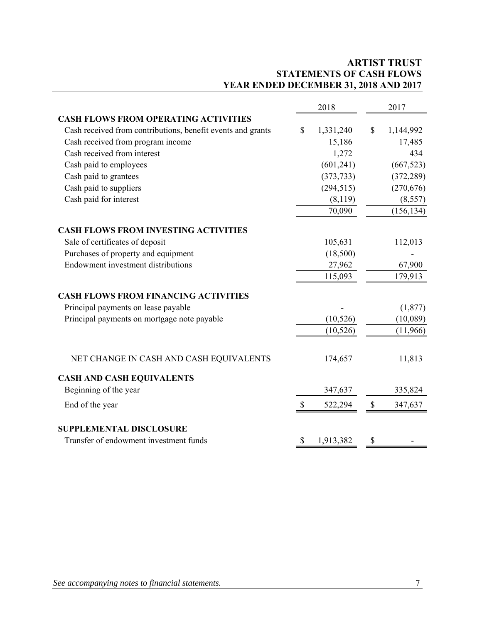## **ARTIST TRUST STATEMENTS OF CASH FLOWS YEAR ENDED DECEMBER 31, 2018 AND 2017**

|                                                             | 2018            |              | 2017       |
|-------------------------------------------------------------|-----------------|--------------|------------|
| <b>CASH FLOWS FROM OPERATING ACTIVITIES</b>                 |                 |              |            |
| Cash received from contributions, benefit events and grants | \$<br>1,331,240 | $\mathbb{S}$ | 1,144,992  |
| Cash received from program income                           | 15,186          |              | 17,485     |
| Cash received from interest                                 | 1,272           |              | 434        |
| Cash paid to employees                                      | (601, 241)      |              | (667, 523) |
| Cash paid to grantees                                       | (373, 733)      |              | (372, 289) |
| Cash paid to suppliers                                      | (294, 515)      |              | (270, 676) |
| Cash paid for interest                                      | (8,119)         |              | (8,557)    |
|                                                             | 70,090          |              | (156, 134) |
| <b>CASH FLOWS FROM INVESTING ACTIVITIES</b>                 |                 |              |            |
| Sale of certificates of deposit                             | 105,631         |              | 112,013    |
| Purchases of property and equipment                         | (18,500)        |              |            |
| Endowment investment distributions                          | 27,962          |              | 67,900     |
|                                                             | 115,093         |              | 179,913    |
| <b>CASH FLOWS FROM FINANCING ACTIVITIES</b>                 |                 |              |            |
| Principal payments on lease payable                         |                 |              | (1,877)    |
| Principal payments on mortgage note payable                 | (10, 526)       |              | (10,089)   |
|                                                             | (10, 526)       |              | (11,966)   |
| NET CHANGE IN CASH AND CASH EQUIVALENTS                     | 174,657         |              | 11,813     |
| <b>CASH AND CASH EQUIVALENTS</b>                            |                 |              |            |
| Beginning of the year                                       | 347,637         |              | 335,824    |
| End of the year                                             | \$<br>522,294   | \$           | 347,637    |
| <b>SUPPLEMENTAL DISCLOSURE</b>                              |                 |              |            |
| Transfer of endowment investment funds                      | \$<br>1,913,382 | \$           |            |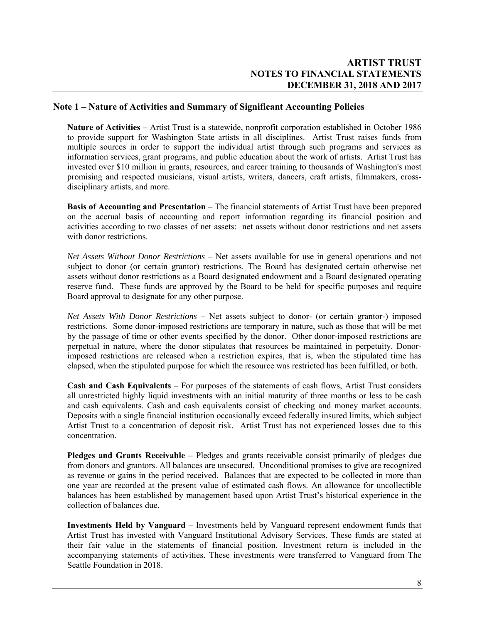#### **Note 1 – Nature of Activities and Summary of Significant Accounting Policies**

**Nature of Activities** – Artist Trust is a statewide, nonprofit corporation established in October 1986 to provide support for Washington State artists in all disciplines. Artist Trust raises funds from multiple sources in order to support the individual artist through such programs and services as information services, grant programs, and public education about the work of artists. Artist Trust has invested over \$10 million in grants, resources, and career training to thousands of Washington's most promising and respected musicians, visual artists, writers, dancers, craft artists, filmmakers, crossdisciplinary artists, and more.

**Basis of Accounting and Presentation** – The financial statements of Artist Trust have been prepared on the accrual basis of accounting and report information regarding its financial position and activities according to two classes of net assets: net assets without donor restrictions and net assets with donor restrictions.

*Net Assets Without Donor Restrictions* – Net assets available for use in general operations and not subject to donor (or certain grantor) restrictions. The Board has designated certain otherwise net assets without donor restrictions as a Board designated endowment and a Board designated operating reserve fund. These funds are approved by the Board to be held for specific purposes and require Board approval to designate for any other purpose.

*Net Assets With Donor Restrictions* – Net assets subject to donor- (or certain grantor-) imposed restrictions. Some donor-imposed restrictions are temporary in nature, such as those that will be met by the passage of time or other events specified by the donor. Other donor-imposed restrictions are perpetual in nature, where the donor stipulates that resources be maintained in perpetuity. Donorimposed restrictions are released when a restriction expires, that is, when the stipulated time has elapsed, when the stipulated purpose for which the resource was restricted has been fulfilled, or both.

**Cash and Cash Equivalents** – For purposes of the statements of cash flows, Artist Trust considers all unrestricted highly liquid investments with an initial maturity of three months or less to be cash and cash equivalents. Cash and cash equivalents consist of checking and money market accounts. Deposits with a single financial institution occasionally exceed federally insured limits, which subject Artist Trust to a concentration of deposit risk. Artist Trust has not experienced losses due to this concentration.

**Pledges and Grants Receivable** – Pledges and grants receivable consist primarily of pledges due from donors and grantors. All balances are unsecured. Unconditional promises to give are recognized as revenue or gains in the period received. Balances that are expected to be collected in more than one year are recorded at the present value of estimated cash flows. An allowance for uncollectible balances has been established by management based upon Artist Trust's historical experience in the collection of balances due.

**Investments Held by Vanguard** – Investments held by Vanguard represent endowment funds that Artist Trust has invested with Vanguard Institutional Advisory Services. These funds are stated at their fair value in the statements of financial position. Investment return is included in the accompanying statements of activities. These investments were transferred to Vanguard from The Seattle Foundation in 2018.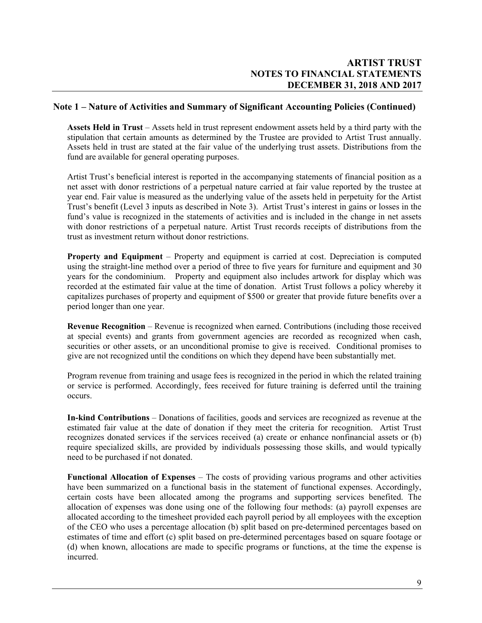#### **Note 1 – Nature of Activities and Summary of Significant Accounting Policies (Continued)**

**Assets Held in Trust** – Assets held in trust represent endowment assets held by a third party with the stipulation that certain amounts as determined by the Trustee are provided to Artist Trust annually. Assets held in trust are stated at the fair value of the underlying trust assets. Distributions from the fund are available for general operating purposes.

Artist Trust's beneficial interest is reported in the accompanying statements of financial position as a net asset with donor restrictions of a perpetual nature carried at fair value reported by the trustee at year end. Fair value is measured as the underlying value of the assets held in perpetuity for the Artist Trust's benefit (Level 3 inputs as described in Note 3). Artist Trust's interest in gains or losses in the fund's value is recognized in the statements of activities and is included in the change in net assets with donor restrictions of a perpetual nature. Artist Trust records receipts of distributions from the trust as investment return without donor restrictions.

**Property and Equipment** – Property and equipment is carried at cost. Depreciation is computed using the straight-line method over a period of three to five years for furniture and equipment and 30 years for the condominium. Property and equipment also includes artwork for display which was recorded at the estimated fair value at the time of donation. Artist Trust follows a policy whereby it capitalizes purchases of property and equipment of \$500 or greater that provide future benefits over a period longer than one year.

**Revenue Recognition** – Revenue is recognized when earned. Contributions (including those received at special events) and grants from government agencies are recorded as recognized when cash, securities or other assets, or an unconditional promise to give is received. Conditional promises to give are not recognized until the conditions on which they depend have been substantially met.

Program revenue from training and usage fees is recognized in the period in which the related training or service is performed. Accordingly, fees received for future training is deferred until the training occurs.

**In-kind Contributions** – Donations of facilities, goods and services are recognized as revenue at the estimated fair value at the date of donation if they meet the criteria for recognition. Artist Trust recognizes donated services if the services received (a) create or enhance nonfinancial assets or (b) require specialized skills, are provided by individuals possessing those skills, and would typically need to be purchased if not donated.

**Functional Allocation of Expenses** – The costs of providing various programs and other activities have been summarized on a functional basis in the statement of functional expenses. Accordingly, certain costs have been allocated among the programs and supporting services benefited. The allocation of expenses was done using one of the following four methods: (a) payroll expenses are allocated according to the timesheet provided each payroll period by all employees with the exception of the CEO who uses a percentage allocation (b) split based on pre-determined percentages based on estimates of time and effort (c) split based on pre-determined percentages based on square footage or (d) when known, allocations are made to specific programs or functions, at the time the expense is incurred.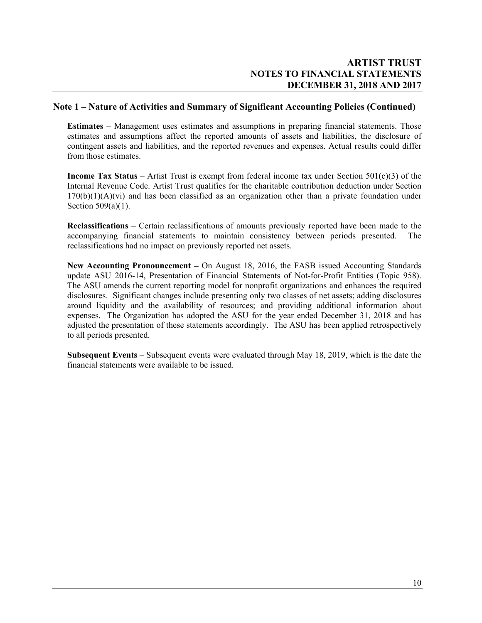#### **Note 1 – Nature of Activities and Summary of Significant Accounting Policies (Continued)**

**Estimates** – Management uses estimates and assumptions in preparing financial statements. Those estimates and assumptions affect the reported amounts of assets and liabilities, the disclosure of contingent assets and liabilities, and the reported revenues and expenses. Actual results could differ from those estimates.

**Income Tax Status** – Artist Trust is exempt from federal income tax under Section 501(c)(3) of the Internal Revenue Code. Artist Trust qualifies for the charitable contribution deduction under Section 170(b)(1)(A)(vi) and has been classified as an organization other than a private foundation under Section 509(a)(1).

**Reclassifications** – Certain reclassifications of amounts previously reported have been made to the accompanying financial statements to maintain consistency between periods presented. The reclassifications had no impact on previously reported net assets.

**New Accounting Pronouncement –** On August 18, 2016, the FASB issued Accounting Standards update ASU 2016-14, Presentation of Financial Statements of Not-for-Profit Entities (Topic 958). The ASU amends the current reporting model for nonprofit organizations and enhances the required disclosures. Significant changes include presenting only two classes of net assets; adding disclosures around liquidity and the availability of resources; and providing additional information about expenses. The Organization has adopted the ASU for the year ended December 31, 2018 and has adjusted the presentation of these statements accordingly. The ASU has been applied retrospectively to all periods presented.

**Subsequent Events** – Subsequent events were evaluated through May 18, 2019, which is the date the financial statements were available to be issued.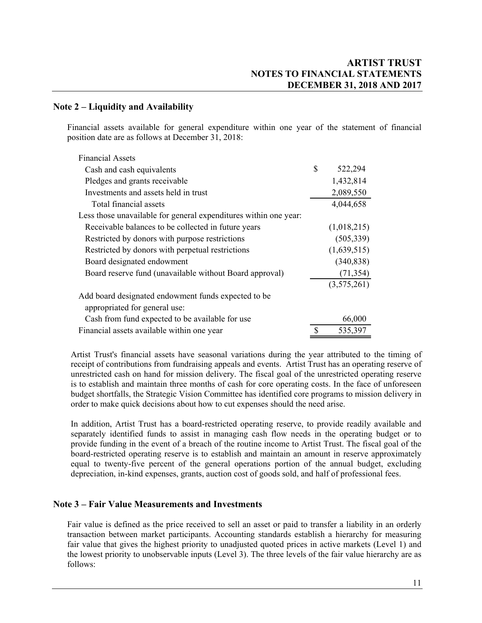### **Note 2 – Liquidity and Availability**

Financial assets available for general expenditure within one year of the statement of financial position date are as follows at December 31, 2018:

| <b>Financial Assets</b>                                          |    |             |
|------------------------------------------------------------------|----|-------------|
| Cash and cash equivalents                                        | \$ | 522,294     |
| Pledges and grants receivable                                    |    | 1,432,814   |
| Investments and assets held in trust                             |    | 2,089,550   |
| Total financial assets                                           |    | 4,044,658   |
| Less those unavailable for general expenditures within one year: |    |             |
| Receivable balances to be collected in future years              |    | (1,018,215) |
| Restricted by donors with purpose restrictions                   |    | (505, 339)  |
| Restricted by donors with perpetual restrictions                 |    | (1,639,515) |
| Board designated endowment                                       |    | (340, 838)  |
| Board reserve fund (unavailable without Board approval)          |    | (71, 354)   |
|                                                                  |    | (3,575,261) |
| Add board designated endowment funds expected to be              |    |             |
| appropriated for general use:                                    |    |             |
| Cash from fund expected to be available for use                  |    | 66,000      |
| Financial assets available within one year                       | S  | 535,397     |

Artist Trust's financial assets have seasonal variations during the year attributed to the timing of receipt of contributions from fundraising appeals and events. Artist Trust has an operating reserve of unrestricted cash on hand for mission delivery. The fiscal goal of the unrestricted operating reserve is to establish and maintain three months of cash for core operating costs. In the face of unforeseen budget shortfalls, the Strategic Vision Committee has identified core programs to mission delivery in order to make quick decisions about how to cut expenses should the need arise.

In addition, Artist Trust has a board-restricted operating reserve, to provide readily available and separately identified funds to assist in managing cash flow needs in the operating budget or to provide funding in the event of a breach of the routine income to Artist Trust. The fiscal goal of the board-restricted operating reserve is to establish and maintain an amount in reserve approximately equal to twenty-five percent of the general operations portion of the annual budget, excluding depreciation, in-kind expenses, grants, auction cost of goods sold, and half of professional fees.

#### **Note 3 – Fair Value Measurements and Investments**

Fair value is defined as the price received to sell an asset or paid to transfer a liability in an orderly transaction between market participants. Accounting standards establish a hierarchy for measuring fair value that gives the highest priority to unadjusted quoted prices in active markets (Level 1) and the lowest priority to unobservable inputs (Level 3). The three levels of the fair value hierarchy are as follows: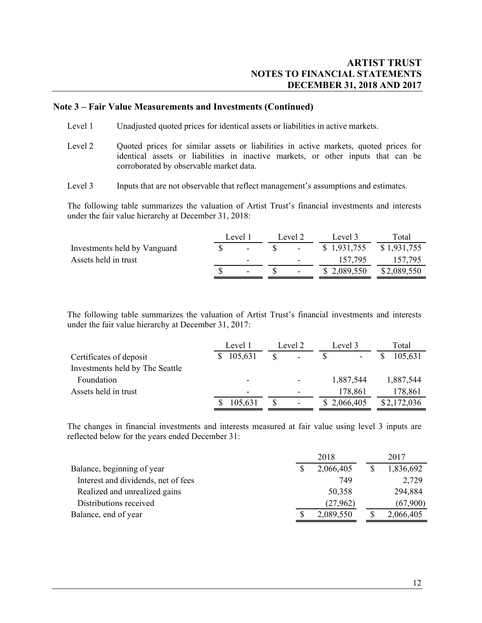#### **Note 3 – Fair Value Measurements and Investments (Continued)**

- Level 1 Unadjusted quoted prices for identical assets or liabilities in active markets.
- Level 2 Quoted prices for similar assets or liabilities in active markets, quoted prices for identical assets or liabilities in inactive markets, or other inputs that can be corroborated by observable market data.
- Level 3 Inputs that are not observable that reflect management's assumptions and estimates.

 The following table summarizes the valuation of Artist Trust's financial investments and interests under the fair value hierarchy at December 31, 2018:

|                              | Level 1                  | Level 2                  | Level 3     | Fotal       |
|------------------------------|--------------------------|--------------------------|-------------|-------------|
| Investments held by Vanguard | $\overline{a}$           |                          | \$1,931,755 | \$1,931,755 |
| Assets held in trust         | -                        | $\overline{\phantom{0}}$ | 157,795     | 157,795     |
|                              | $\overline{\phantom{0}}$ |                          | \$2,089,550 | \$2,089,550 |

 The following table summarizes the valuation of Artist Trust's financial investments and interests under the fair value hierarchy at December 31, 2017:

|                                 | Level 1                  | Level 2                  | Level 3     | Total       |
|---------------------------------|--------------------------|--------------------------|-------------|-------------|
| Certificates of deposit         | 105,631                  | -                        |             | 105,631     |
| Investments held by The Seattle |                          |                          |             |             |
| Foundation                      | -                        |                          | 1,887,544   | 1,887,544   |
| Assets held in trust            | $\overline{\phantom{0}}$ | $\overline{\phantom{0}}$ | 178,861     | 178,861     |
|                                 | 105,631                  | $\overline{\phantom{a}}$ | \$2,066,405 | \$2,172,036 |

The changes in financial investments and interests measured at fair value using level 3 inputs are reflected below for the years ended December 31:

|                                     | 2018      | 2017      |
|-------------------------------------|-----------|-----------|
| Balance, beginning of year          | 2,066,405 | 1,836,692 |
| Interest and dividends, net of fees | 749       | 2,729     |
| Realized and unrealized gains       | 50,358    | 294,884   |
| Distributions received              | (27,962)  | (67,900)  |
| Balance, end of year                | 2,089,550 | 2,066,405 |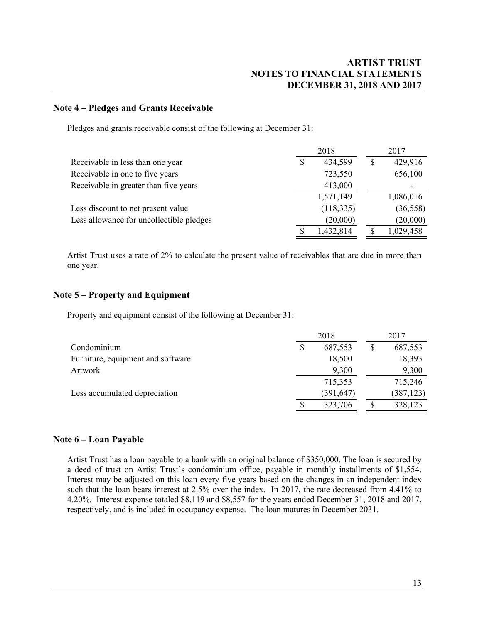#### **Note 4 – Pledges and Grants Receivable**

Pledges and grants receivable consist of the following at December 31:

|                                          | 2018            | 2017      |
|------------------------------------------|-----------------|-----------|
| Receivable in less than one year         | \$<br>434,599   | 429,916   |
| Receivable in one to five years          | 723,550         | 656,100   |
| Receivable in greater than five years    | 413,000         |           |
|                                          | 1,571,149       | 1,086,016 |
| Less discount to net present value       | (118, 335)      | (36, 558) |
| Less allowance for uncollectible pledges | (20,000)        | (20,000)  |
|                                          | \$<br>1,432,814 | 1,029,458 |

Artist Trust uses a rate of 2% to calculate the present value of receivables that are due in more than one year.

#### **Note 5 – Property and Equipment**

Property and equipment consist of the following at December 31:

|                                   | 2018 |            |  | 2017       |  |  |
|-----------------------------------|------|------------|--|------------|--|--|
| Condominium                       | \$   | 687,553    |  | 687,553    |  |  |
| Furniture, equipment and software |      | 18,500     |  | 18,393     |  |  |
| Artwork                           |      | 9,300      |  | 9,300      |  |  |
|                                   |      | 715,353    |  | 715,246    |  |  |
| Less accumulated depreciation     |      | (391, 647) |  | (387, 123) |  |  |
|                                   | S    | 323,706    |  | 328,123    |  |  |
|                                   |      |            |  |            |  |  |

#### **Note 6 – Loan Payable**

Artist Trust has a loan payable to a bank with an original balance of \$350,000. The loan is secured by a deed of trust on Artist Trust's condominium office, payable in monthly installments of \$1,554. Interest may be adjusted on this loan every five years based on the changes in an independent index such that the loan bears interest at 2.5% over the index. In 2017, the rate decreased from 4.41% to 4.20%. Interest expense totaled \$8,119 and \$8,557 for the years ended December 31, 2018 and 2017, respectively, and is included in occupancy expense. The loan matures in December 2031.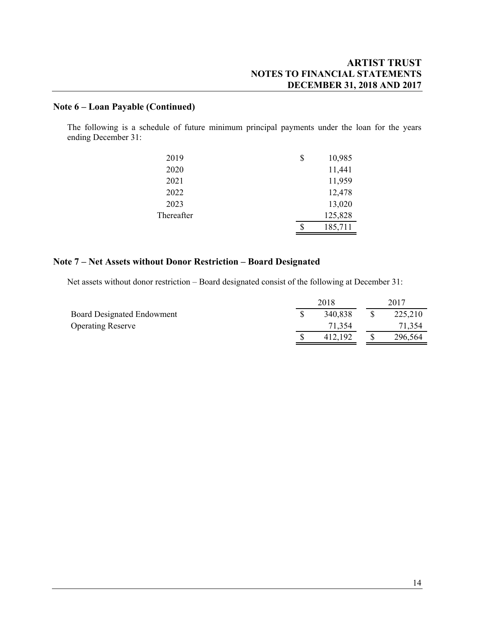## **Note 6 – Loan Payable (Continued)**

The following is a schedule of future minimum principal payments under the loan for the years ending December 31:

| 2019       | \$<br>10,985  |
|------------|---------------|
| 2020       | 11,441        |
| 2021       | 11,959        |
| 2022       | 12,478        |
| 2023       | 13,020        |
| Thereafter | 125,828       |
|            | \$<br>185,711 |

### **Note 7 – Net Assets without Donor Restriction – Board Designated**

Net assets without donor restriction – Board designated consist of the following at December 31:

| 2018 |         | 2017 |         |
|------|---------|------|---------|
|      | 340,838 |      | 225,210 |
|      | 71,354  |      | 71,354  |
|      | 412,192 |      | 296,564 |
|      |         |      |         |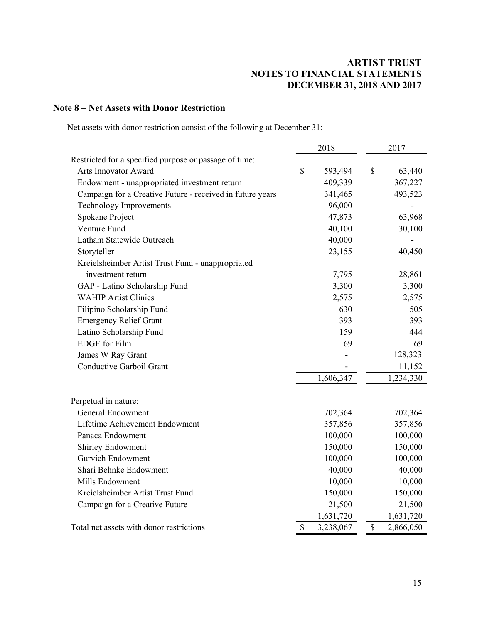## **Note 8 – Net Assets with Donor Restriction**

Net assets with donor restriction consist of the following at December 31:

|                                                           | 2018         |           | 2017         |           |
|-----------------------------------------------------------|--------------|-----------|--------------|-----------|
| Restricted for a specified purpose or passage of time:    |              |           |              |           |
| Arts Innovator Award                                      | $\mathbb{S}$ | 593,494   | $\mathbb{S}$ | 63,440    |
| Endowment - unappropriated investment return              |              | 409,339   |              | 367,227   |
| Campaign for a Creative Future - received in future years |              | 341,465   |              | 493,523   |
| <b>Technology Improvements</b>                            |              | 96,000    |              |           |
| Spokane Project                                           |              | 47,873    |              | 63,968    |
| Venture Fund                                              |              | 40,100    |              | 30,100    |
| Latham Statewide Outreach                                 |              | 40,000    |              |           |
| Storyteller                                               |              | 23,155    |              | 40,450    |
| Kreielsheimber Artist Trust Fund - unappropriated         |              |           |              |           |
| investment return                                         |              | 7,795     |              | 28,861    |
| GAP - Latino Scholarship Fund                             |              | 3,300     |              | 3,300     |
| <b>WAHIP Artist Clinics</b>                               |              | 2,575     |              | 2,575     |
| Filipino Scholarship Fund                                 |              | 630       |              | 505       |
| <b>Emergency Relief Grant</b>                             |              | 393       |              | 393       |
| Latino Scholarship Fund                                   |              | 159       |              | 444       |
| <b>EDGE</b> for Film                                      |              | 69        |              | 69        |
| James W Ray Grant                                         |              |           |              | 128,323   |
| Conductive Garboil Grant                                  |              |           |              | 11,152    |
|                                                           |              | 1,606,347 |              | 1,234,330 |
| Perpetual in nature:                                      |              |           |              |           |
| <b>General Endowment</b>                                  |              | 702,364   |              | 702,364   |
| Lifetime Achievement Endowment                            |              | 357,856   |              | 357,856   |
| Panaca Endowment                                          |              | 100,000   |              | 100,000   |
| <b>Shirley Endowment</b>                                  |              | 150,000   |              | 150,000   |
| <b>Gurvich Endowment</b>                                  |              | 100,000   |              | 100,000   |
| Shari Behnke Endowment                                    |              | 40,000    |              | 40,000    |
| Mills Endowment                                           |              | 10,000    |              | 10,000    |
| Kreielsheimber Artist Trust Fund                          |              | 150,000   |              | 150,000   |
| Campaign for a Creative Future                            |              | 21,500    |              | 21,500    |
|                                                           |              | 1,631,720 |              | 1,631,720 |
| Total net assets with donor restrictions                  | $\mathbf S$  | 3,238,067 | $\mathbf S$  | 2,866,050 |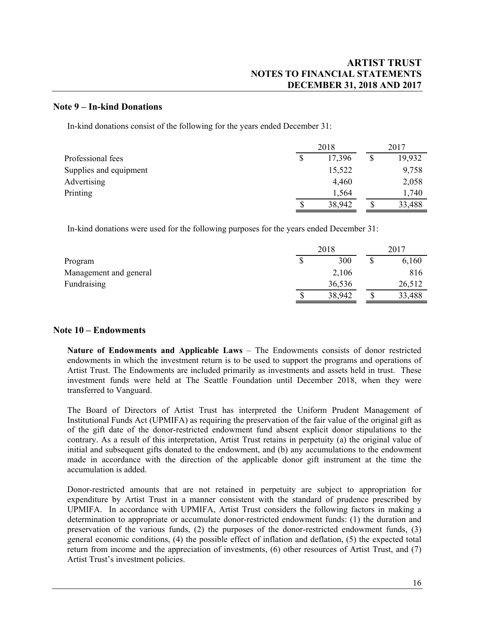#### **Note 9 – In-kind Donations**

In-kind donations consist of the following for the years ended December 31:

|                        | 2018   |    | 2017   |  |
|------------------------|--------|----|--------|--|
| Professional fees      | 17,396 | \$ | 19,932 |  |
| Supplies and equipment | 15,522 |    | 9,758  |  |
| Advertising            | 4,460  |    | 2,058  |  |
| Printing               | 1,564  |    | 1,740  |  |
|                        | 38,942 |    | 33,488 |  |

In-kind donations were used for the following purposes for the years ended December 31:

|                        | 2018 |        | 2017   |  |
|------------------------|------|--------|--------|--|
| Program                |      | 300    | 6,160  |  |
| Management and general |      | 2,106  | 816    |  |
| Fundraising            |      | 36,536 | 26,512 |  |
|                        |      | 38,942 | 33,488 |  |

#### **Note 10 – Endowments**

**Nature of Endowments and Applicable Laws** – The Endowments consists of donor restricted endowments in which the investment return is to be used to support the programs and operations of Artist Trust. The Endowments are included primarily as investments and assets held in trust. These investment funds were held at The Seattle Foundation until December 2018, when they were transferred to Vanguard.

The Board of Directors of Artist Trust has interpreted the Uniform Prudent Management of Institutional Funds Act (UPMIFA) as requiring the preservation of the fair value of the original gift as of the gift date of the donor-restricted endowment fund absent explicit donor stipulations to the contrary. As a result of this interpretation, Artist Trust retains in perpetuity (a) the original value of initial and subsequent gifts donated to the endowment, and (b) any accumulations to the endowment made in accordance with the direction of the applicable donor gift instrument at the time the accumulation is added.

Donor-restricted amounts that are not retained in perpetuity are subject to appropriation for expenditure by Artist Trust in a manner consistent with the standard of prudence prescribed by UPMIFA. In accordance with UPMIFA, Artist Trust considers the following factors in making a determination to appropriate or accumulate donor-restricted endowment funds: (1) the duration and preservation of the various funds, (2) the purposes of the donor-restricted endowment funds, (3) general economic conditions, (4) the possible effect of inflation and deflation, (5) the expected total return from income and the appreciation of investments, (6) other resources of Artist Trust, and (7) Artist Trust's investment policies.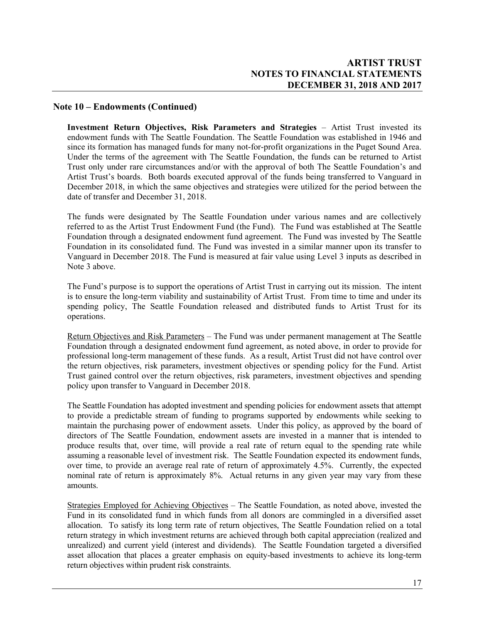### **Note 10 – Endowments (Continued)**

**Investment Return Objectives, Risk Parameters and Strategies** – Artist Trust invested its endowment funds with The Seattle Foundation. The Seattle Foundation was established in 1946 and since its formation has managed funds for many not-for-profit organizations in the Puget Sound Area. Under the terms of the agreement with The Seattle Foundation, the funds can be returned to Artist Trust only under rare circumstances and/or with the approval of both The Seattle Foundation's and Artist Trust's boards. Both boards executed approval of the funds being transferred to Vanguard in December 2018, in which the same objectives and strategies were utilized for the period between the date of transfer and December 31, 2018.

The funds were designated by The Seattle Foundation under various names and are collectively referred to as the Artist Trust Endowment Fund (the Fund). The Fund was established at The Seattle Foundation through a designated endowment fund agreement. The Fund was invested by The Seattle Foundation in its consolidated fund. The Fund was invested in a similar manner upon its transfer to Vanguard in December 2018. The Fund is measured at fair value using Level 3 inputs as described in Note 3 above.

The Fund's purpose is to support the operations of Artist Trust in carrying out its mission. The intent is to ensure the long-term viability and sustainability of Artist Trust. From time to time and under its spending policy, The Seattle Foundation released and distributed funds to Artist Trust for its operations.

Return Objectives and Risk Parameters – The Fund was under permanent management at The Seattle Foundation through a designated endowment fund agreement, as noted above, in order to provide for professional long-term management of these funds. As a result, Artist Trust did not have control over the return objectives, risk parameters, investment objectives or spending policy for the Fund. Artist Trust gained control over the return objectives, risk parameters, investment objectives and spending policy upon transfer to Vanguard in December 2018.

The Seattle Foundation has adopted investment and spending policies for endowment assets that attempt to provide a predictable stream of funding to programs supported by endowments while seeking to maintain the purchasing power of endowment assets. Under this policy, as approved by the board of directors of The Seattle Foundation, endowment assets are invested in a manner that is intended to produce results that, over time, will provide a real rate of return equal to the spending rate while assuming a reasonable level of investment risk. The Seattle Foundation expected its endowment funds, over time, to provide an average real rate of return of approximately 4.5%. Currently, the expected nominal rate of return is approximately 8%. Actual returns in any given year may vary from these amounts.

Strategies Employed for Achieving Objectives – The Seattle Foundation, as noted above, invested the Fund in its consolidated fund in which funds from all donors are commingled in a diversified asset allocation. To satisfy its long term rate of return objectives, The Seattle Foundation relied on a total return strategy in which investment returns are achieved through both capital appreciation (realized and unrealized) and current yield (interest and dividends). The Seattle Foundation targeted a diversified asset allocation that places a greater emphasis on equity-based investments to achieve its long-term return objectives within prudent risk constraints.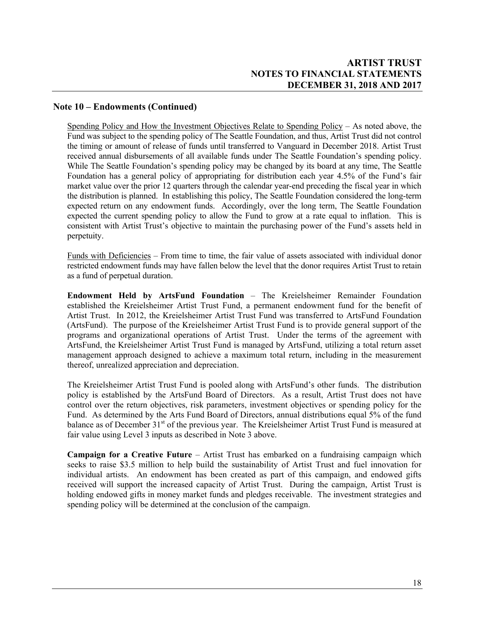### **Note 10 – Endowments (Continued)**

Spending Policy and How the Investment Objectives Relate to Spending Policy – As noted above, the Fund was subject to the spending policy of The Seattle Foundation, and thus, Artist Trust did not control the timing or amount of release of funds until transferred to Vanguard in December 2018. Artist Trust received annual disbursements of all available funds under The Seattle Foundation's spending policy. While The Seattle Foundation's spending policy may be changed by its board at any time, The Seattle Foundation has a general policy of appropriating for distribution each year 4.5% of the Fund's fair market value over the prior 12 quarters through the calendar year-end preceding the fiscal year in which the distribution is planned. In establishing this policy, The Seattle Foundation considered the long-term expected return on any endowment funds. Accordingly, over the long term, The Seattle Foundation expected the current spending policy to allow the Fund to grow at a rate equal to inflation. This is consistent with Artist Trust's objective to maintain the purchasing power of the Fund's assets held in perpetuity.

Funds with Deficiencies – From time to time, the fair value of assets associated with individual donor restricted endowment funds may have fallen below the level that the donor requires Artist Trust to retain as a fund of perpetual duration.

**Endowment Held by ArtsFund Foundation** – The Kreielsheimer Remainder Foundation established the Kreielsheimer Artist Trust Fund, a permanent endowment fund for the benefit of Artist Trust. In 2012, the Kreielsheimer Artist Trust Fund was transferred to ArtsFund Foundation (ArtsFund). The purpose of the Kreielsheimer Artist Trust Fund is to provide general support of the programs and organizational operations of Artist Trust. Under the terms of the agreement with ArtsFund, the Kreielsheimer Artist Trust Fund is managed by ArtsFund, utilizing a total return asset management approach designed to achieve a maximum total return, including in the measurement thereof, unrealized appreciation and depreciation.

The Kreielsheimer Artist Trust Fund is pooled along with ArtsFund's other funds. The distribution policy is established by the ArtsFund Board of Directors. As a result, Artist Trust does not have control over the return objectives, risk parameters, investment objectives or spending policy for the Fund. As determined by the Arts Fund Board of Directors, annual distributions equal 5% of the fund balance as of December 31<sup>st</sup> of the previous year. The Kreielsheimer Artist Trust Fund is measured at fair value using Level 3 inputs as described in Note 3 above.

**Campaign for a Creative Future** – Artist Trust has embarked on a fundraising campaign which seeks to raise \$3.5 million to help build the sustainability of Artist Trust and fuel innovation for individual artists. An endowment has been created as part of this campaign, and endowed gifts received will support the increased capacity of Artist Trust. During the campaign, Artist Trust is holding endowed gifts in money market funds and pledges receivable. The investment strategies and spending policy will be determined at the conclusion of the campaign.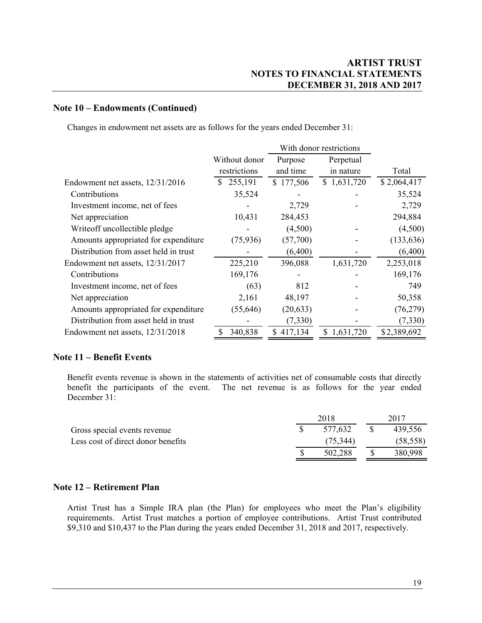#### **Note 10 – Endowments (Continued)**

Changes in endowment net assets are as follows for the years ended December 31:

|                                       |               | With donor restrictions |             |             |
|---------------------------------------|---------------|-------------------------|-------------|-------------|
|                                       | Without donor | Purpose                 | Perpetual   |             |
|                                       | restrictions  | and time                | in nature   | Total       |
| Endowment net assets, 12/31/2016      | \$255,191     | \$177,506               | \$1,631,720 | \$2,064,417 |
| Contributions                         | 35,524        |                         |             | 35,524      |
| Investment income, net of fees        |               | 2,729                   |             | 2,729       |
| Net appreciation                      | 10,431        | 284,453                 |             | 294,884     |
| Writeoff uncollectible pledge         |               | (4,500)                 |             | (4,500)     |
| Amounts appropriated for expenditure  | (75, 936)     | (57,700)                |             | (133, 636)  |
| Distribution from asset held in trust |               | (6,400)                 |             | (6,400)     |
| Endowment net assets, 12/31/2017      | 225,210       | 396,088                 | 1,631,720   | 2,253,018   |
| Contributions                         | 169,176       |                         |             | 169,176     |
| Investment income, net of fees        | (63)          | 812                     |             | 749         |
| Net appreciation                      | 2,161         | 48,197                  |             | 50,358      |
| Amounts appropriated for expenditure  | (55, 646)     | (20, 633)               |             | (76,279)    |
| Distribution from asset held in trust |               | (7,330)                 |             | (7,330)     |
| Endowment net assets, 12/31/2018      | 340,838<br>\$ | \$417,134               | \$1,631,720 | \$2,389,692 |

### **Note 11 – Benefit Events**

Benefit events revenue is shown in the statements of activities net of consumable costs that directly benefit the participants of the event. The net revenue is as follows for the year ended December 31:

|                                    | 2018 |           |  |           |  |  |
|------------------------------------|------|-----------|--|-----------|--|--|
| Gross special events revenue       |      | 577.632   |  | 439.556   |  |  |
| Less cost of direct donor benefits |      | (75, 344) |  | (58, 558) |  |  |
|                                    |      | 502.288   |  | 380,998   |  |  |

#### **Note 12 – Retirement Plan**

Artist Trust has a Simple IRA plan (the Plan) for employees who meet the Plan's eligibility requirements. Artist Trust matches a portion of employee contributions. Artist Trust contributed \$9,310 and \$10,437 to the Plan during the years ended December 31, 2018 and 2017, respectively.